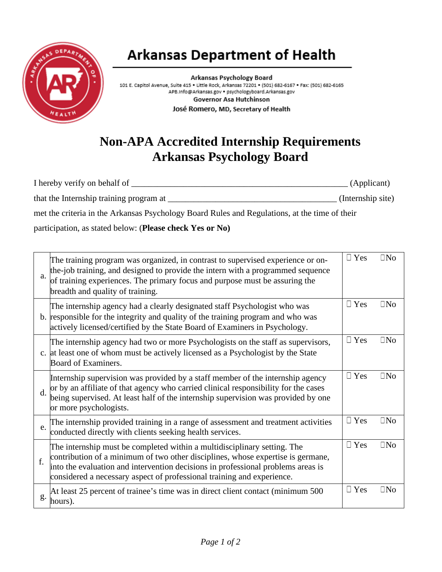

## **Arkansas Department of Health**

Arkansas Psychology Board 101 E. Capitol Avenue, Suite 415 · Little Rock, Arkansas 72201 · (501) 682-6167 · Fax: (501) 682-6165 APB.Info@Arkansas.gov . psychologyboard.Arkansas.gov Governor Asa Hutchinson José Romero, MD, Secretary of Health

## **Non-APA Accredited Internship Requirements Arkansas Psychology Board**

| I hereby verify on behalf of                                                                  | (Applicant)       |
|-----------------------------------------------------------------------------------------------|-------------------|
| that the Internship training program at                                                       | (Internship site) |
| met the criteria in the Arkansas Psychology Board Rules and Regulations, at the time of their |                   |

participation, as stated below: (**Please check Yes or No)**

| a.             | The training program was organized, in contrast to supervised experience or on-<br>the-job training, and designed to provide the intern with a programmed sequence<br>of training experiences. The primary focus and purpose must be assuring the<br>breadth and quality of training.                                     | $\Box$ Yes | $\Box$ No |
|----------------|---------------------------------------------------------------------------------------------------------------------------------------------------------------------------------------------------------------------------------------------------------------------------------------------------------------------------|------------|-----------|
|                | The internship agency had a clearly designated staff Psychologist who was<br>b. responsible for the integrity and quality of the training program and who was<br>actively licensed/certified by the State Board of Examiners in Psychology.                                                                               | $\Box$ Yes | $\Box$ No |
|                | The internship agency had two or more Psychologists on the staff as supervisors,<br>c. at least one of whom must be actively licensed as a Psychologist by the State<br>Board of Examiners.                                                                                                                               | $\Box$ Yes | $\Box$ No |
| $\mathbf{d}$ . | Internship supervision was provided by a staff member of the internship agency<br>or by an affiliate of that agency who carried clinical responsibility for the cases<br>being supervised. At least half of the internship supervision was provided by one<br>or more psychologists.                                      | $\Box$ Yes | $\Box$ No |
| e.             | The internship provided training in a range of assessment and treatment activities<br>conducted directly with clients seeking health services.                                                                                                                                                                            | $\Box$ Yes | $\Box$ No |
| f.             | The internship must be completed within a multidisciplinary setting. The<br>contribution of a minimum of two other disciplines, whose expertise is germane,<br>into the evaluation and intervention decisions in professional problems areas is<br>considered a necessary aspect of professional training and experience. | $\Box$ Yes | $\Box$ No |
| g.             | At least 25 percent of trainee's time was in direct client contact (minimum 500)<br>hours).                                                                                                                                                                                                                               | $\Box$ Yes | $\Box$ No |